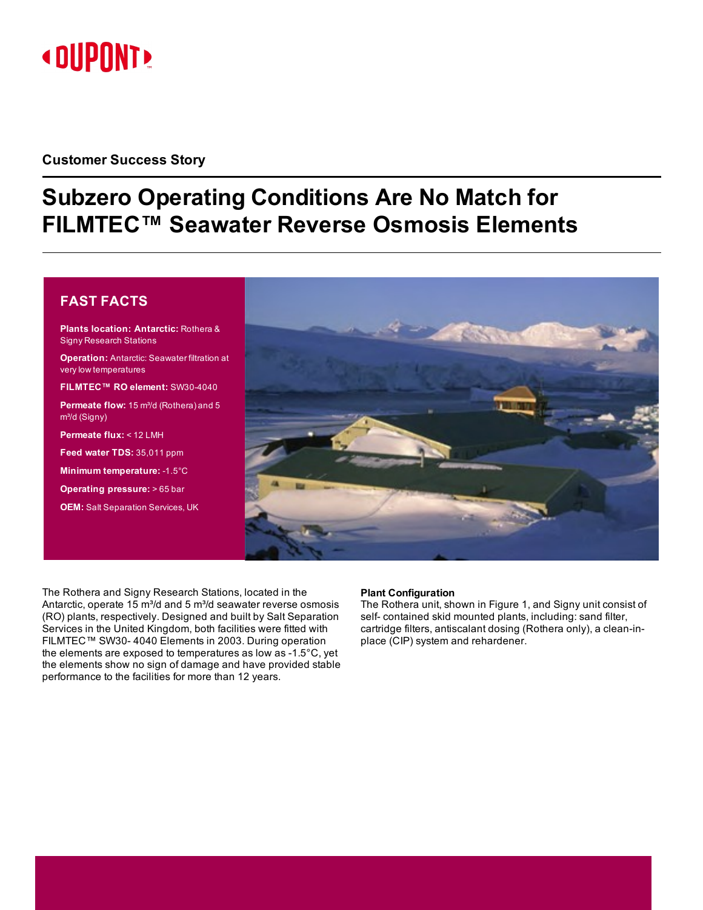# **« DUPONT!**

## **Customer Success Story**

# **Subzero Operating Conditions Are No Match for FILMTEC™ Seawater Reverse Osmosis Elements**

### **FAST FACTS**

**Plants location: Antarctic:** Rothera & Signy Research Stations **Operation:** Antarctic: Seawater filtration at very low temperatures **FILMTEC™ RO element:** SW30-4040 **Permeate flow:** 15 m<sup>3</sup>/d (Rothera) and 5 m<sup>3</sup>/d (Signy) **Permeate flux:** < 12 LMH **Feed water TDS:** 35,011 ppm **Minimum temperature:** -1.5°C **Operating pressure:** > 65 bar **OEM:** Salt Separation Services, UK



The Rothera and Signy Research Stations, located in the Antarctic, operate 15  $m^3/d$  and 5  $m^3/d$  seawater reverse osmosis (RO) plants, respectively. Designed and built by Salt Separation Services in the United Kingdom, both facilities were fitted with FILMTEC™ SW30- 4040 Elements in 2003. During operation the elements are exposed to temperatures as low as -1.5°C, yet the elements show no sign of damage and have provided stable performance to the facilities for more than 12 years.

#### **Plant Configuration**

The Rothera unit, shown in [Figure](#page-1-0) 1, and Signy unit consist of self- contained skid mounted plants, including: sand filter, cartridge filters, antiscalant dosing (Rothera only), a clean-inplace (CIP) system and rehardener.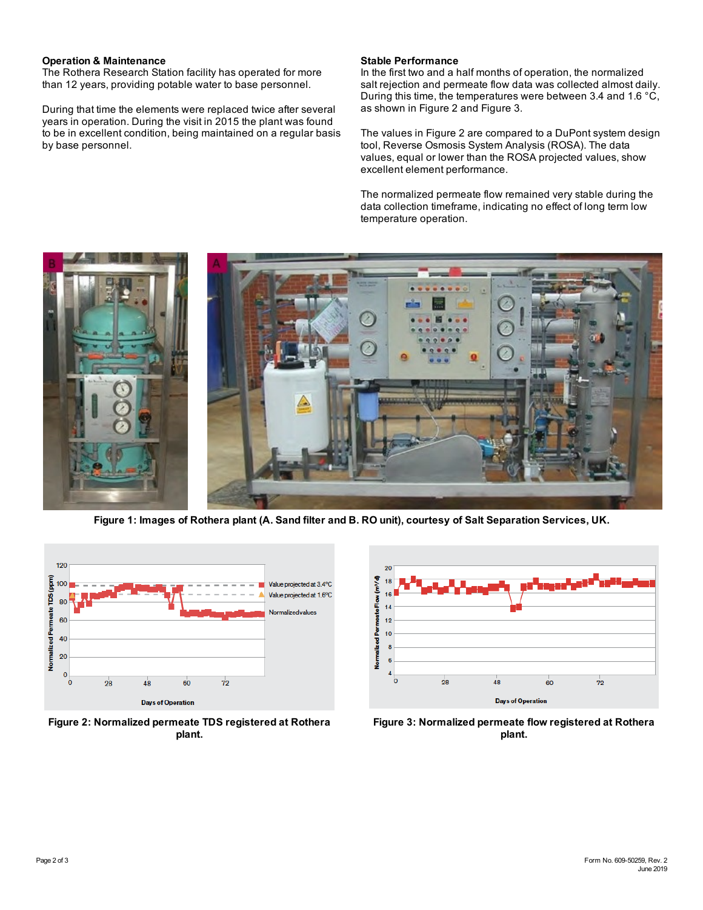#### **Operation & Maintenance**

The Rothera Research Station facility has operated for more than 12 years, providing potable water to base personnel.

During that time the elements were replaced twice after several years in operation. During the visit in 2015 the plant was found to be in excellent condition, being maintained on a regular basis by base personnel.

#### **Stable Performance**

In the first two and a half months of operation, the normalized salt rejection and permeate flow data was collected almost daily. During this time, the temperatures were between 3.4 and 1.6 °C, as shown in [Figure](#page-1-1) 2 and [Figure](#page-1-2) 3.

The values in Figure 2 are compared to a DuPont system design tool, Reverse Osmosis System Analysis (ROSA). The data values, equal or lower than the ROSA projected values, show excellent element performance.

The normalized permeate flow remained very stable during the data collection timeframe, indicating no effect of long term low temperature operation.



Figure 1: Images of Rothera plant (A. Sand filter and B. RO unit), courtesy of Salt Separation Services, UK.

<span id="page-1-0"></span>

<span id="page-1-1"></span>**Figure 2: Normalized permeate TDS registered at Rothera plant.**



<span id="page-1-2"></span>**Figure 3: Normalized permeate flow registered at Rothera plant.**